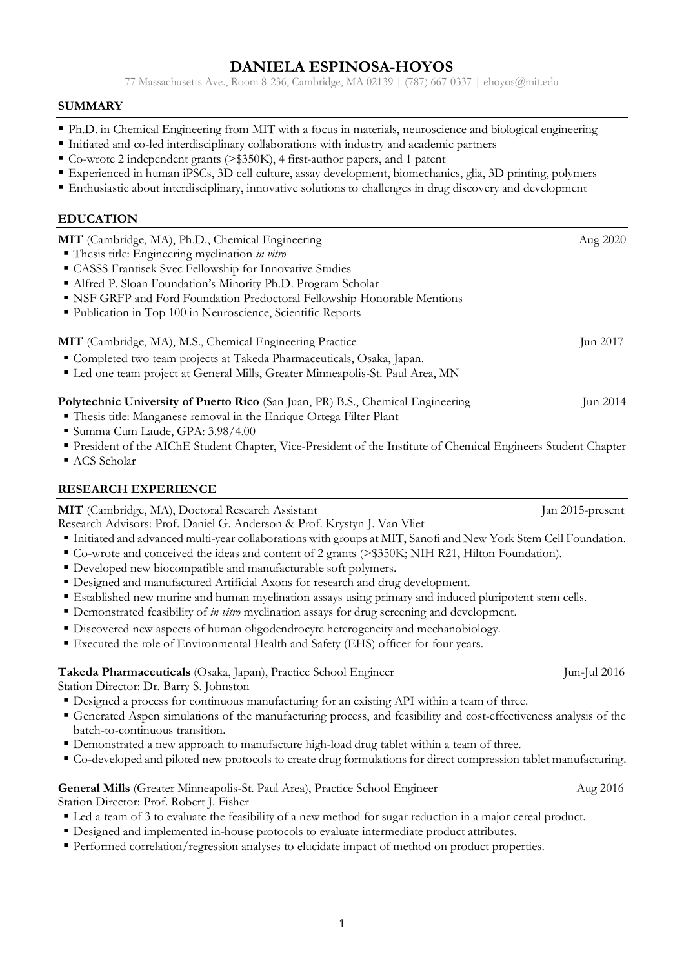77 Massachusetts Ave., Room 8-236, Cambridge, MA 02139 | (787) 667-0337 | ehoyos@mit.edu

#### **SUMMARY**

- § Ph.D. in Chemical Engineering from MIT with a focus in materials, neuroscience and biological engineering
- § Initiated and co-led interdisciplinary collaborations with industry and academic partners
- Co-wrote 2 independent grants (>\$350K), 4 first-author papers, and 1 patent
- Experienced in human iPSCs, 3D cell culture, assay development, biomechanics, glia, 3D printing, polymers
- Enthusiastic about interdisciplinary, innovative solutions to challenges in drug discovery and development

#### **EDUCATION**

| MIT (Cambridge, MA), Ph.D., Chemical Engineering<br>" Thesis title: Engineering myelination in vitro<br>CASSS Frantisek Svec Fellowship for Innovative Studies<br>Alfred P. Sloan Foundation's Minority Ph.D. Program Scholar<br>" NSF GRFP and Ford Foundation Predoctoral Fellowship Honorable Mentions<br>• Publication in Top 100 in Neuroscience, Scientific Reports                                                                                                                                                                                                                                                                                                                                                                                                                                                                                                                                 | Aug 2020         |
|-----------------------------------------------------------------------------------------------------------------------------------------------------------------------------------------------------------------------------------------------------------------------------------------------------------------------------------------------------------------------------------------------------------------------------------------------------------------------------------------------------------------------------------------------------------------------------------------------------------------------------------------------------------------------------------------------------------------------------------------------------------------------------------------------------------------------------------------------------------------------------------------------------------|------------------|
| MIT (Cambridge, MA), M.S., Chemical Engineering Practice<br>Completed two team projects at Takeda Pharmaceuticals, Osaka, Japan.<br>" Led one team project at General Mills, Greater Minneapolis-St. Paul Area, MN                                                                                                                                                                                                                                                                                                                                                                                                                                                                                                                                                                                                                                                                                        | Jun 2017         |
| Polytechnic University of Puerto Rico (San Juan, PR) B.S., Chemical Engineering<br>" Thesis title: Manganese removal in the Enrique Ortega Filter Plant<br>Summa Cum Laude, GPA: 3.98/4.00<br>President of the AIChE Student Chapter, Vice-President of the Institute of Chemical Engineers Student Chapter<br>ACS Scholar                                                                                                                                                                                                                                                                                                                                                                                                                                                                                                                                                                                | Jun 2014         |
| <b>RESEARCH EXPERIENCE</b>                                                                                                                                                                                                                                                                                                                                                                                                                                                                                                                                                                                                                                                                                                                                                                                                                                                                                |                  |
| MIT (Cambridge, MA), Doctoral Research Assistant<br>Research Advisors: Prof. Daniel G. Anderson & Prof. Krystyn J. Van Vliet<br>Initiated and advanced multi-year collaborations with groups at MIT, Sanofi and New York Stem Cell Foundation.<br>• Co-wrote and conceived the ideas and content of 2 grants (>\$350K; NIH R21, Hilton Foundation).<br>• Developed new biocompatible and manufacturable soft polymers.<br>" Designed and manufactured Artificial Axons for research and drug development.<br>• Established new murine and human myelination assays using primary and induced pluripotent stem cells.<br>• Demonstrated feasibility of <i>in vitro</i> myelination assays for drug screening and development.<br>• Discovered new aspects of human oligodendrocyte heterogeneity and mechanobiology.<br>Executed the role of Environmental Health and Safety (EHS) officer for four years. | Jan 2015-present |
| Takeda Pharmaceuticals (Osaka, Japan), Practice School Engineer<br>Station Director: Dr. Barry S. Johnston<br>" Designed a process for continuous manufacturing for an existing API within a team of three.<br>Generated Aspen simulations of the manufacturing process, and feasibility and cost-effectiveness analysis of the<br>batch-to-continuous transition.<br>• Demonstrated a new approach to manufacture high-load drug tablet within a team of three.<br>" Co-developed and piloted new protocols to create drug formulations for direct compression tablet manufacturing.                                                                                                                                                                                                                                                                                                                     | Jun-Jul 2016     |
| General Mills (Greater Minneapolis-St. Paul Area), Practice School Engineer<br>Station Director: Prof. Robert J. Fisher<br>• Led a team of 3 to evaluate the feasibility of a new method for sugar reduction in a major cereal product.<br>• Designed and implemented in-house protocols to evaluate intermediate product attributes.<br>• Performed correlation/regression analyses to elucidate impact of method on product properties.                                                                                                                                                                                                                                                                                                                                                                                                                                                                 | Aug 2016         |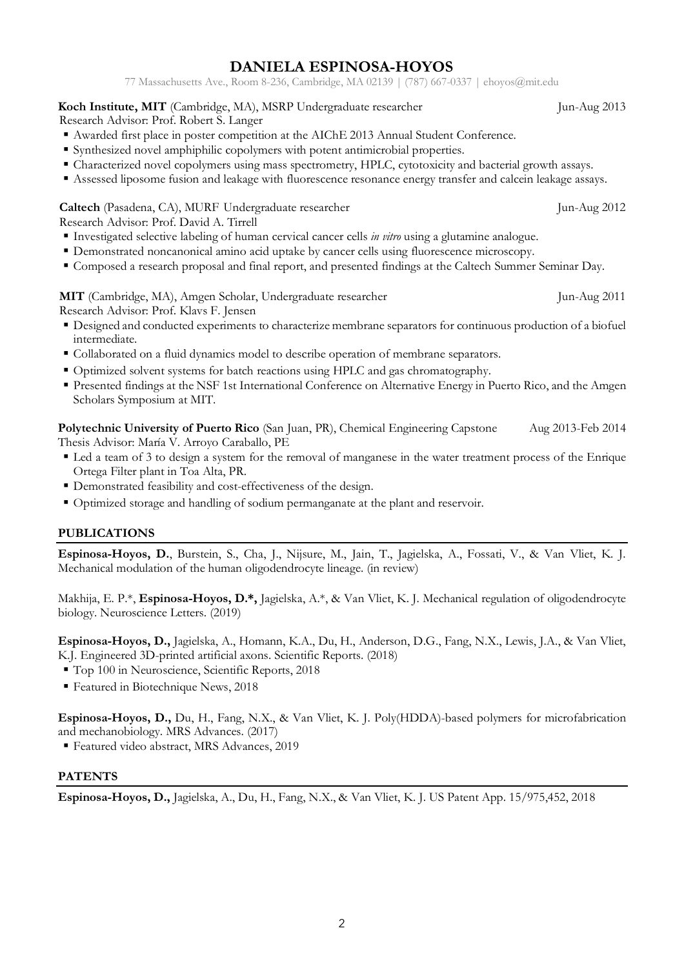77 Massachusetts Ave., Room 8-236, Cambridge, MA 02139 | (787) 667-0337 | ehoyos@mit.edu

**Koch Institute, MIT** (Cambridge, MA), MSRP Undergraduate researcher Jun-Aug 2013

Research Advisor: Prof. Robert S. Langer

- § Awarded first place in poster competition at the AIChE 2013 Annual Student Conference.
- § Synthesized novel amphiphilic copolymers with potent antimicrobial properties.
- § Characterized novel copolymers using mass spectrometry, HPLC, cytotoxicity and bacterial growth assays.
- § Assessed liposome fusion and leakage with fluorescence resonance energy transfer and calcein leakage assays.

## **Caltech** (Pasadena, CA), MURF Undergraduate researcher Jun-Aug 2012

Research Advisor: Prof. David A. Tirrell

- § Investigated selective labeling of human cervical cancer cells *in vitro* using a glutamine analogue.
- § Demonstrated noncanonical amino acid uptake by cancer cells using fluorescence microscopy.
- § Composed a research proposal and final report, and presented findings at the Caltech Summer Seminar Day.

# **MIT** (Cambridge, MA), Amgen Scholar, Undergraduate researcher Jun-Aug 2011

Research Advisor: Prof. Klavs F. Jensen

- § Designed and conducted experiments to characterize membrane separators for continuous production of a biofuel intermediate.
- Collaborated on a fluid dynamics model to describe operation of membrane separators.
- § Optimized solvent systems for batch reactions using HPLC and gas chromatography.
- § Presented findings at the NSF 1st International Conference on Alternative Energy in Puerto Rico, and the Amgen Scholars Symposium at MIT.

**Polytechnic University of Puerto Rico** (San Juan, PR), Chemical Engineering Capstone Aug 2013-Feb 2014 Thesis Advisor: María V. Arroyo Caraballo, PE

- Led a team of 3 to design a system for the removal of manganese in the water treatment process of the Enrique Ortega Filter plant in Toa Alta, PR.
- § Demonstrated feasibility and cost-effectiveness of the design.
- § Optimized storage and handling of sodium permanganate at the plant and reservoir.

## **PUBLICATIONS**

**Espinosa-Hoyos, D.**, Burstein, S., Cha, J., Nijsure, M., Jain, T., Jagielska, A., Fossati, V., & Van Vliet, K. J. Mechanical modulation of the human oligodendrocyte lineage. (in review)

Makhija, E. P.\*, **Espinosa-Hoyos, D.\*,** Jagielska, A.\*, & Van Vliet, K. J. Mechanical regulation of oligodendrocyte biology. Neuroscience Letters. (2019)

**Espinosa-Hoyos, D.,** Jagielska, A., Homann, K.A., Du, H., Anderson, D.G., Fang, N.X., Lewis, J.A., & Van Vliet, K.J. Engineered 3D-printed artificial axons. Scientific Reports. (2018)

- § Top 100 in Neuroscience, Scientific Reports, 2018
- Featured in Biotechnique News, 2018

**Espinosa-Hoyos, D.,** Du, H., Fang, N.X., & Van Vliet, K. J. Poly(HDDA)-based polymers for microfabrication and mechanobiology. MRS Advances. (2017)

§ Featured video abstract, MRS Advances, 2019

### **PATENTS**

**Espinosa-Hoyos, D.,** Jagielska, A., Du, H., Fang, N.X., & Van Vliet, K. J. US Patent App. 15/975,452, 2018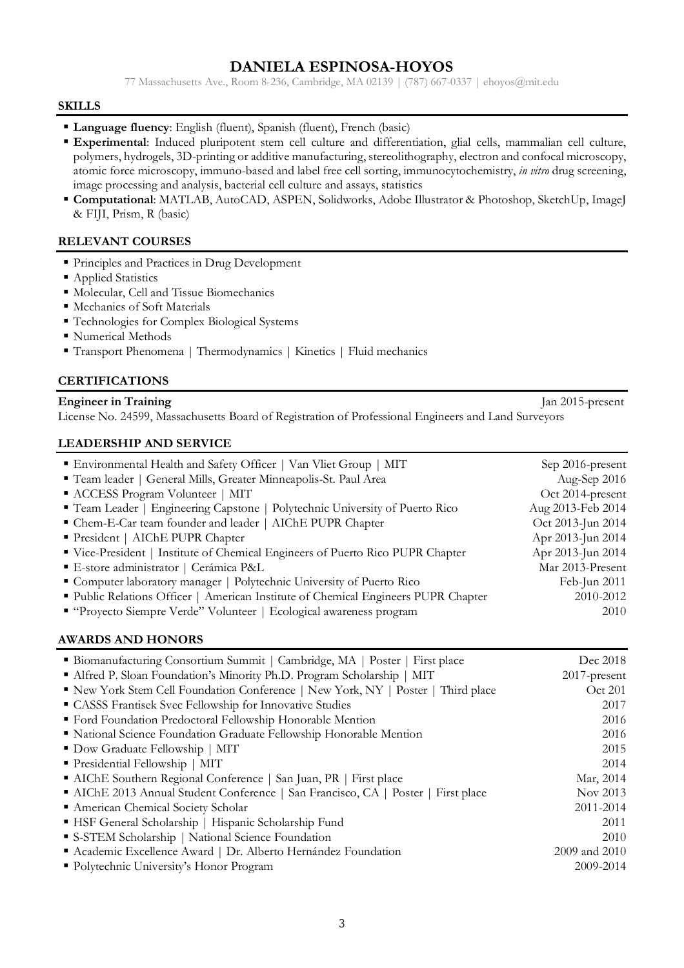77 Massachusetts Ave., Room 8-236, Cambridge, MA 02139 | (787) 667-0337 | ehoyos@mit.edu

#### **SKILLS**

- § **Language fluency**: English (fluent), Spanish (fluent), French (basic)
- § **Experimental**: Induced pluripotent stem cell culture and differentiation, glial cells, mammalian cell culture, polymers, hydrogels, 3D-printing or additive manufacturing, stereolithography, electron and confocal microscopy, atomic force microscopy, immuno-based and label free cell sorting, immunocytochemistry, *in vitro* drug screening, image processing and analysis, bacterial cell culture and assays, statistics
- § **Computational**: MATLAB, AutoCAD, ASPEN, Solidworks, Adobe Illustrator & Photoshop, SketchUp, ImageJ & FIJI, Prism, R (basic)

#### **RELEVANT COURSES**

- § Principles and Practices in Drug Development
- Applied Statistics
- § Molecular, Cell and Tissue Biomechanics
- § Mechanics of Soft Materials
- Technologies for Complex Biological Systems
- Numerical Methods
- § Transport Phenomena | Thermodynamics | Kinetics | Fluid mechanics

#### **CERTIFICATIONS**

#### **Engineer in Training** Jan 2015-present

License No. 24599, Massachusetts Board of Registration of Professional Engineers and Land Surveyors

#### **LEADERSHIP AND SERVICE**

| Environmental Health and Safety Officer   Van Vliet Group   MIT                    | Sep 2016-present  |
|------------------------------------------------------------------------------------|-------------------|
| " Team leader   General Mills, Greater Minneapolis-St. Paul Area                   | Aug-Sep 2016      |
| • ACCESS Program Volunteer   MIT                                                   | Oct 2014-present  |
| " Team Leader   Engineering Capstone   Polytechnic University of Puerto Rico       | Aug 2013-Feb 2014 |
| • Chem-E-Car team founder and leader   AIChE PUPR Chapter                          | Oct 2013-Jun 2014 |
| President   AIChE PUPR Chapter                                                     | Apr 2013-Jun 2014 |
| ■ Vice-President   Institute of Chemical Engineers of Puerto Rico PUPR Chapter     | Apr 2013-Jun 2014 |
| E-store administrator   Cerámica P&L                                               | Mar 2013-Present  |
| • Computer laboratory manager   Polytechnic University of Puerto Rico              | Feb-Jun 2011      |
| • Public Relations Officer   American Institute of Chemical Engineers PUPR Chapter | 2010-2012         |
| "Proyecto Siempre Verde" Volunteer   Ecological awareness program                  | 2010              |

#### **AWARDS AND HONORS**

| • Biomanufacturing Consortium Summit   Cambridge, MA   Poster   First place     | Dec 2018        |
|---------------------------------------------------------------------------------|-----------------|
| Alfred P. Sloan Foundation's Minority Ph.D. Program Scholarship   MIT           | $2017$ -present |
| New York Stem Cell Foundation Conference   New York, NY   Poster   Third place  | Oct 201         |
| • CASSS Frantisek Svec Fellowship for Innovative Studies                        | 2017            |
| " Ford Foundation Predoctoral Fellowship Honorable Mention                      | 2016            |
| " National Science Foundation Graduate Fellowship Honorable Mention             | 2016            |
| • Dow Graduate Fellowship   MIT                                                 | 2015            |
| Presidential Fellowship   MIT                                                   | 2014            |
| AIChE Southern Regional Conference   San Juan, PR   First place                 | Mar, 2014       |
| AIChE 2013 Annual Student Conference   San Francisco, CA   Poster   First place | Nov 2013        |
| American Chemical Society Scholar                                               | 2011-2014       |
| • HSF General Scholarship   Hispanic Scholarship Fund                           | 2011            |
| • S-STEM Scholarship   National Science Foundation                              | 2010            |
| Academic Excellence Award   Dr. Alberto Hernández Foundation                    | 2009 and 2010   |
| • Polytechnic University's Honor Program                                        | 2009-2014       |